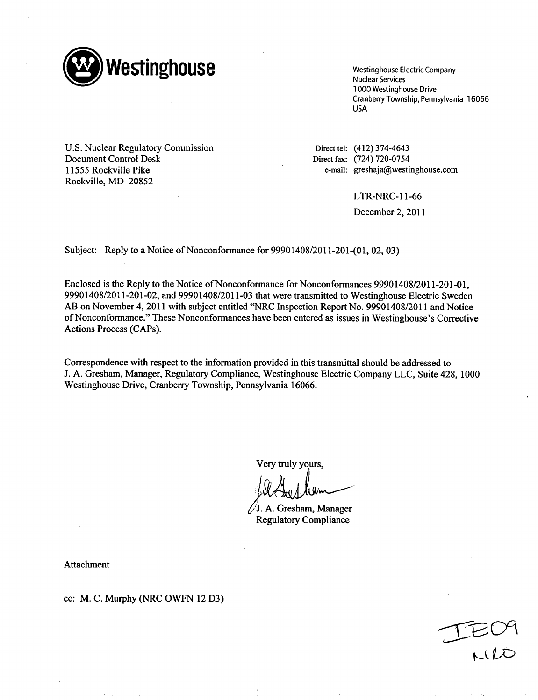

Nuclear Services 1000 Westinghouse Drive Cranberry Township, Pennsylvania 16066 USA

U.S. Nuclear Regulatory Commission Document Control Desk 11555 Rockville Pike Rockville, MD 20852

Direct tel: (412) 374-4643 Direct fax: (724) 720-0754 e-mail: greshaja@westinghouse.com

> LTR-NRC- 11-66 December 2, 2011

Subject: Reply to a Notice of Nonconformance for 99901408/2011-201-(01, 02, 03)

Enclosed is the Reply to the Notice of Nonconformance for Nonconformances 99901408/2011-201-01, 99901408/2011-201-02, and 99901408/2011-03 that were transmitted to Westinghouse Electric Sweden AB on November 4, 2011 with subject entitled "NRC Inspection Report No. 99901408/2011 and Notice of Nonconformance." These Nonconformances have been entered as issues in Westinghouse's Corrective Actions Process (CAPs).

Correspondence with respect to the information provided in this transmittal should be addressed to J. A. Gresham, Manager, Regulatory Compliance, Westinghouse Electric Company LLC, Suite 428, 1000 Westinghouse Drive, Cranberry Township, Pennsylvania 16066.

Very truly yours,

J. A. Gresham, Manager Regulatory Compliance

Attachment

cc: M. C. Murphy (NRC OWFN 12 D3)

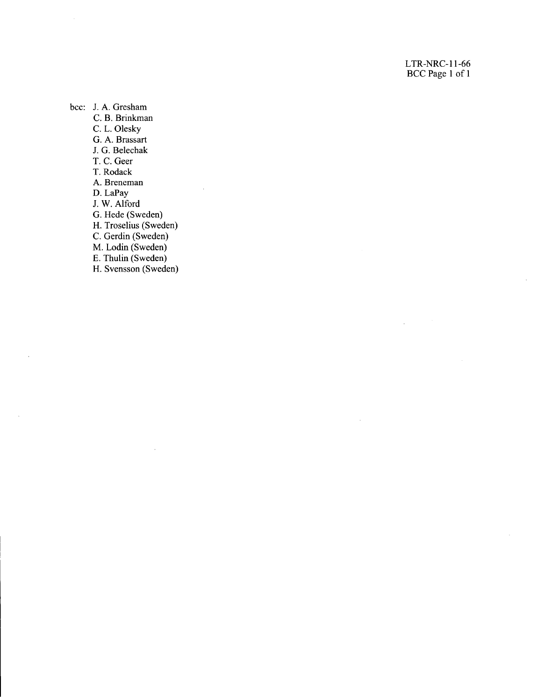LTR-NRC-11-66 BCC Page 1 of 1

 $\bar{z}$ 

bcc: J. A. Gresham C. B. Brinkman C. L. Olesky G. A. Brassart J. G. Belechak T. C. Geer T. Rodack A. Breneman D. LaPay J. W. Alford G. Hede (Sweden) H. Troselius (Sweden) C. Gerdin (Sweden) M. Lodin (Sweden) E. Thulin (Sweden) H. Svensson (Sweden)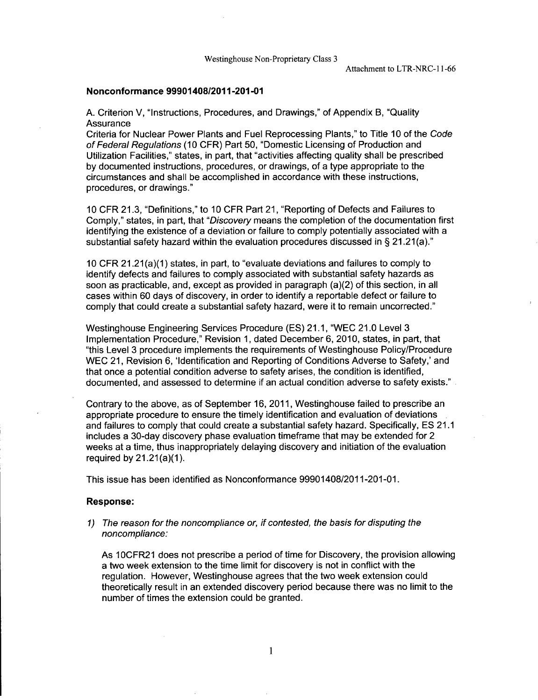## Nonconformance **99901408/2011-201-01**

**A.** Criterion V, "Instructions, Procedures, and Drawings," of Appendix B, "Quality **Assurance** 

Criteria for Nuclear Power Plants and Fuel Reprocessing Plants," to Title **10** of the Code *of Federal Regulations (10* CFR) Part **50,** "Domestic Licensing of Production and Utilization Facilities," states, in part, that "activities affecting quality shall be prescribed **by** documented instructions, procedures, or drawings, of a type appropriate to the circumstances and shall be accomplished in accordance with these instructions, procedures, or drawings."

**10** CFR **21.3,** "Definitions," to **10** CFR Part 2 **1,** "Reporting of Defects and Failures to Comply," states, in part, that *"Discovery* means the completion of the documentation first identifying the existence of a deviation or failure to comply potentially associated with a substantial safety hazard within the evaluation procedures discussed in **§** 21.21 (a)."

**10** CFR 21.21 (a)(1) states, in part, to "evaluate deviations and failures to comply to identify defects and failures to comply associated with substantial safety hazards as soon as practicable, and, except as provided in paragraph (a)(2) of this section, in all cases within **60** days of discovery, in order to identify a reportable defect or failure to comply that could create a substantial safety hazard, were it to remain uncorrected."

Westinghouse Engineering Services Procedure (ES) 21.1, "WEC 21.0 Level 3 Implementation Procedure," Revision **1,** dated December **6,** 2010, states, in part, that "this Level **3** procedure implements the requirements of Westinghouse Policy/Procedure WEC 21, Revision **6,** 'Identification and Reporting of Conditions Adverse to Safety,' and that once a potential condition adverse to safety arises, the condition is identified, documented, and assessed to determine if an actual condition adverse to safety exists."

Contrary to the above, as of September **16, 2011,** Westinghouse failed to prescribe an appropriate procedure to ensure the timely identification and evaluation of deviations and failures to comply that could create a substantial safety hazard. Specifically, **ES** 21.1 includes a 30-day discovery phase evaluation timeframe that may be extended for 2 weeks at a time, thus inappropriately delaying discovery and initiation of the evaluation required **by** 21.21 (a)(1).

This issue has been identified as Nonconformance **99901408/2011-201-01.**

#### Response:

**1)** *The reason for the noncompliance or, if contested, the basis for disputing the noncompliance:*

As **1** OCFR21 does not prescribe a period of time for Discovery, the provision allowing a two week extension to the time limit for discovery is not in conflict with the regulation. However, Westinghouse agrees that the two week extension could theoretically result in an extended discovery period because there was no limit to the number of times the extension could be granted.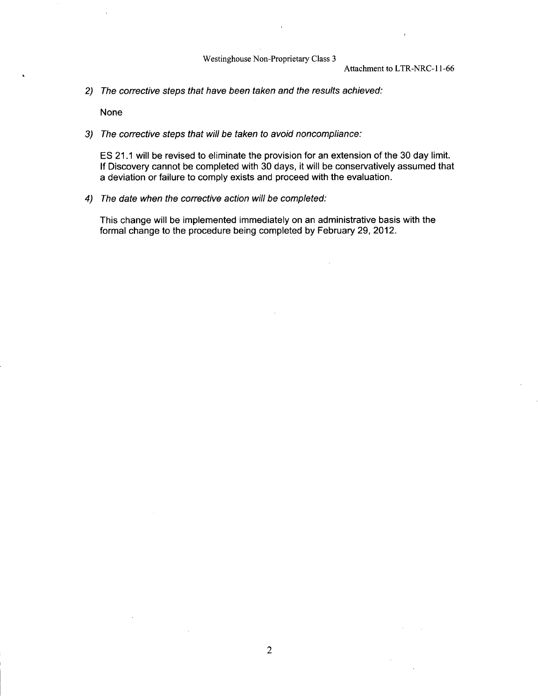*2) The corrective steps that have been taken and the results achieved:*

None

*3) The corrective steps that will be taken to avoid noncompliance:*

**ES** 21.1 will be revised to eliminate the provision for an extension of the **30** day limit. **If** Discovery cannot be completed with **30** days, it will be conservatively assumed that a deviation or failure to comply exists and proceed with the evaluation.

*4) The date when the corrective action will be completed.*

This change will be implemented immediately on an administrative basis with the formal change to the procedure being completed **by** February **29,** 2012.

 $\bar{z}$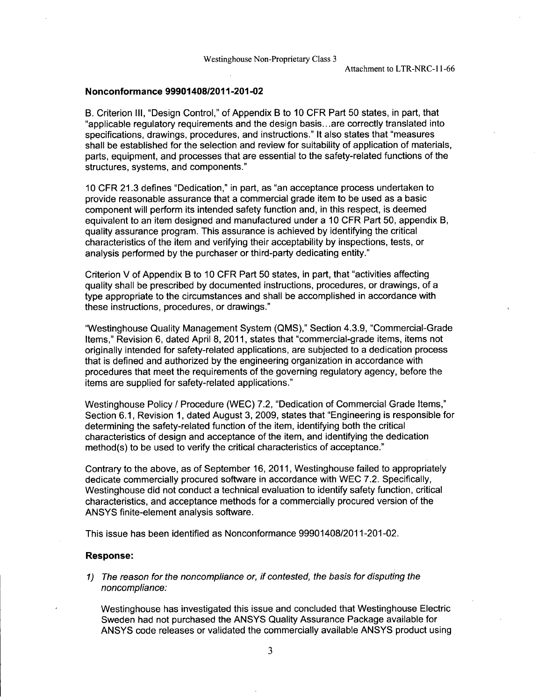#### Nonconformance 99901408/2011-201-02

B. Criterion **III,** "Design Control," of Appendix B to **10** CFR Part **50** states, in part, that **<sup>11</sup>**applicable regulatory requirements and the design basis **...** are correctly translated into specifications, drawings, procedures, and instructions." It also states that "measures shall be established for the selection and review for suitability of application of materials, parts, equipment, and processes that are essential to the safety-related functions of the structures, systems, and components."

**10** CIFIR **21.3** defines "Dedication," in part, as "an acceptance process undertaken to provide reasonable assurance that a commercial grade item to be used as a basic component will perform its intended safety function and, in this respect, is deemed equivalent to an item designed and manufactured under a **10** CFR Part **50,** appendix B, quality assurance program. This assurance is achieved **by** identifying the critical characteristics of the item and verifying their acceptability **by** inspections, tests, or analysis performed **by** the purchaser or third-party dedicating entity."

Criterion V of Appendix B to **10** CFR Part **50** states, in part, that "activities affecting quality shall be prescribed **by** documented instructions, procedures, or drawings, of a type appropriate to the circumstances and shall be accomplished in accordance with these instructions, procedures, or drawings."

"Westinghouse Quality Management System **(QMS),"** Section 4.3.9, "Commercial-Grade Items," Revision **6,** dated April **8, 2011,** states that "commercial-grade items, items not originally intended for safety-related applications, are subjected to a dedication process that is defined and authorized **by** the engineering organization in accordance with procedures that meet the requirements of the governing regulatory agency, before the items are supplied for safety-related applications."

Westinghouse Policy **/** Procedure (WEC) **7.2,** "Dedication of Commercial Grade Items," Section **6.1,** Revision **1,** dated August **3, 2009,** states that "Engineering is responsible for determining the safety-related function of the item, identifying both the critical characteristics of design and acceptance of the item, and identifying the dedication method(s) to be used to verify the critical characteristics of acceptance."

Contrary to the above, as of September **16, 2011,** Westinghouse failed to appropriately dedicate commercially procured software in accordance with WEC **7.2.** Specifically, Westinghouse did not conduct a technical evaluation to identify safety function, critical characteristics, and acceptance methods for a commercially procured version of the **ANSYS** finite-element analysis software.

This issue has been identified as Nonconformance **99901408/2011-201-02.**

#### Response:

**1)** *The reason for the noncompliance or, if contested, the basis for disputing the noncompliance:*

Westinghouse has investigated this issue and concluded that Westinghouse Electric Sweden had not purchased the **ANSYS** Quality Assurance Package available for **ANSYS** code releases or validated the commercially available **ANSYS** product using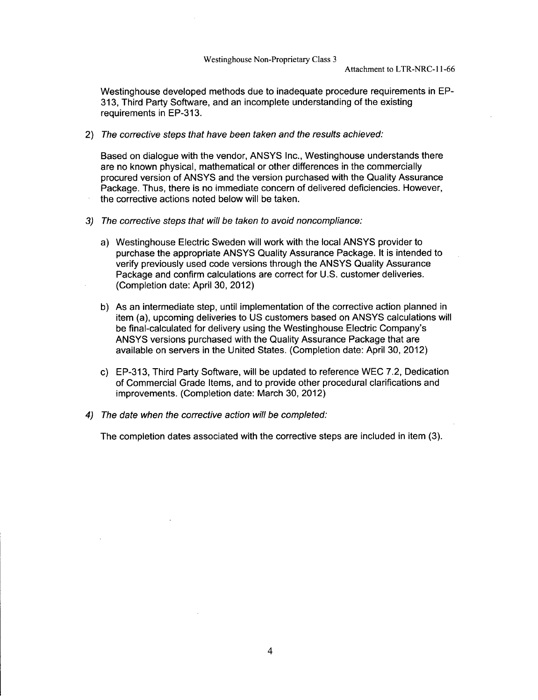Westinghouse developed methods due to inadequate procedure requirements in EP-313, Third Party Software, and an incomplete understanding of the existing requirements in EP-313.

### 2) *The corrective steps that have been taken and the results achieved:*

Based on dialogue with the vendor, ANSYS Inc., Westinghouse understands there are no known physical, mathematical or other differences in the commercially procured version of ANSYS and the version purchased with the Quality Assurance Package. Thus, there is no immediate concern of delivered deficiencies. However, the corrective actions noted below will be taken.

- *3) The corrective steps that will be taken to avoid noncompliance:*
	- a) Westinghouse Electric Sweden will work with the local ANSYS provider to purchase the appropriate ANSYS Quality Assurance Package. It is intended to verify previously used code versions through the ANSYS Quality Assurance Package and confirm calculations are correct for U.S. customer deliveries. (Completion date: April 30, 2012)
	- b) As an intermediate step, until implementation of the corrective action planned in item (a), upcoming deliveries to US customers based on ANSYS calculations will be final-calculated for delivery using the Westinghouse Electric Company's ANSYS versions purchased with the Quality Assurance Package that are available on servers in the United States. (Completion date: April 30, 2012)
	- c) EP-313, Third Party Software, will be updated to reference WEC 7.2, Dedication of Commercial Grade Items, and to provide other procedural clarifications and improvements. (Completion date: March 30, 2012)
- *4) The date when the corrective action will be completed:*

The completion dates associated with the corrective steps are included in item (3).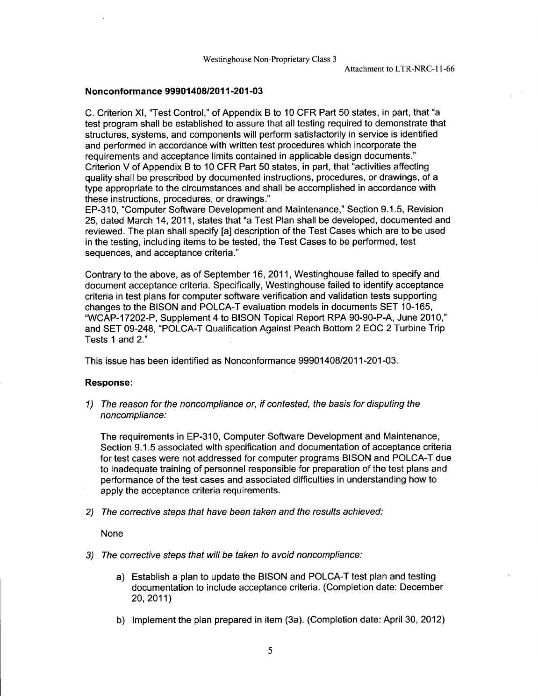# Nonconformance **99901408/2011-201-03**

C. Criterion XI, "Test Control," of Appendix B to 10 CFR Part 50 states, in part, that "a test program shall be established to assure that all testing required to demonstrate that structures, systems, and components will perform satisfactorily in service is identified and performed in accordance with written test procedures which incorporate the requirements and acceptance limits contained in applicable design documents." Criterion V of Appendix B to 10 CFR Part 50 states, in part, that "activities affecting quality shall be prescribed by documented instructions, procedures, or drawings, of a type appropriate to the circumstances and shall be accomplished in accordance with these instructions, procedures, or drawings."

EP-310, "Computer Software Development and Maintenance," Section 9.1.5, Revision 25, dated March 14, 2011, states that "a Test Plan shall be developed, documented and reviewed. The plan shall specify [a] description of the Test Cases which are to be used in the testing, including items to be tested, the Test Cases to be performed, test sequences, and acceptance criteria."

Contrary to the above, as of September 16, 2011, Westinghouse failed to specify and document acceptance criteria. Specifically, Westinghouse failed to identify acceptance criteria in test plans for computer software verification and validation tests supporting changes to the BISON and POLCA-T evaluation models in documents SET 10-165, "WCAP-1 7202-P, Supplement 4 to BISON Topical Report RPA 90-90-P-A, June 2010," and SET 09-248, "POLCA-T Qualification Against Peach Bottom 2 EOC 2 Turbine Trip Tests 1 and 2."

This issue has been identified as Nonconformance 99901408/2011-201-03.

### Response:

1) *The reason for the noncompliance or, if contested, the basis for disputing the noncompliance:*

The requirements in EP-310, Computer Software Development and Maintenance, Section 9.1.5 associated with specification and documentation of acceptance criteria for test cases were not addressed for computer programs BISON and POLCA-T due to inadequate training of personnel responsible for preparation of the test plans and performance of the test cases and associated difficulties in understanding how to apply the acceptance criteria requirements.

*2) The corrective steps that have been taken and the results achieved:*

None

- *3) The corrective steps that will be taken to avoid noncompliance:*
	- a) Establish a plan to update the BISON and POLCA-T test plan and testing documentation to include acceptance criteria. (Completion date: December 20, 2011)
	- b) Implement the plan prepared in item (3a). (Completion date: April 30, 2012)